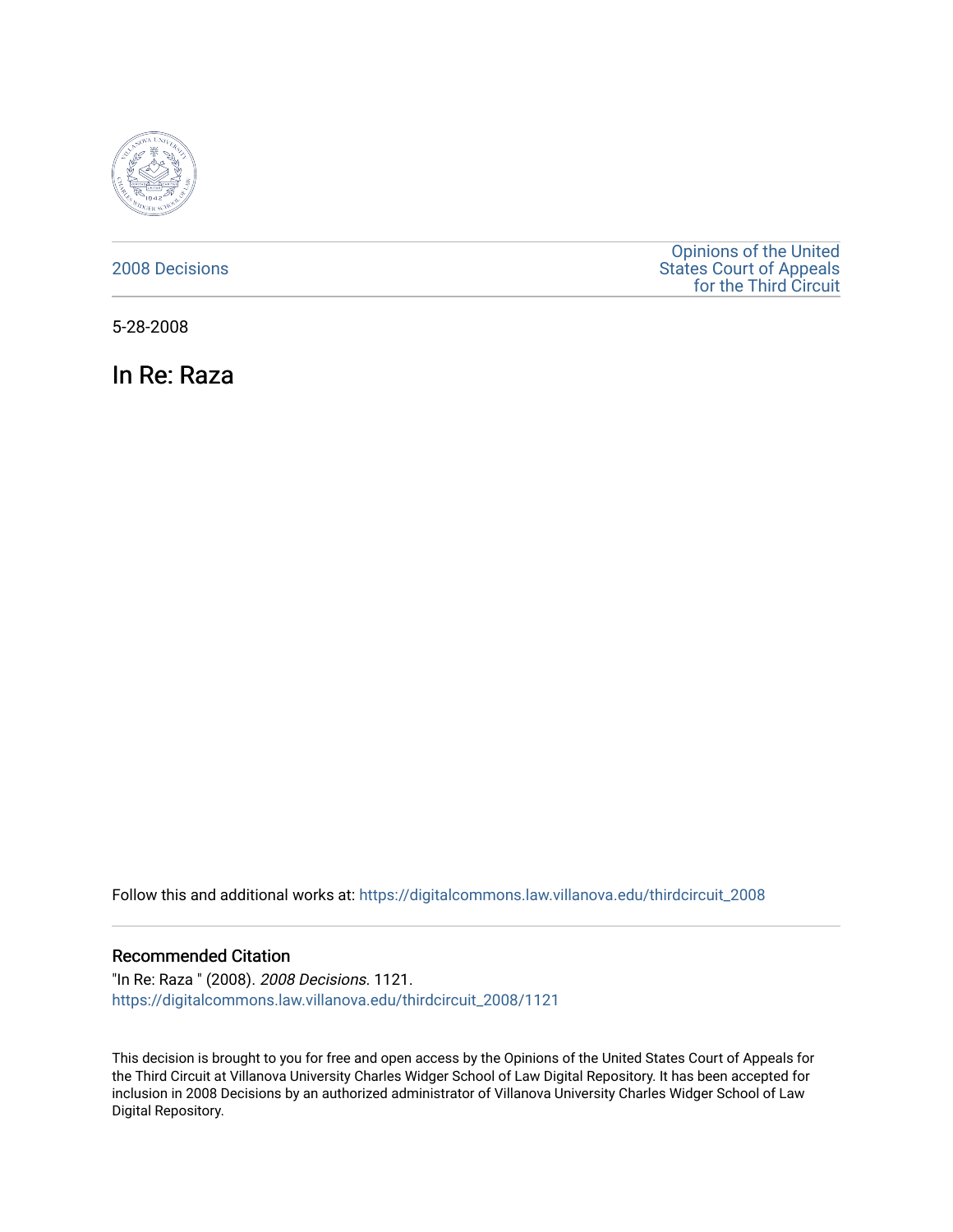

### [2008 Decisions](https://digitalcommons.law.villanova.edu/thirdcircuit_2008)

[Opinions of the United](https://digitalcommons.law.villanova.edu/thirdcircuit)  [States Court of Appeals](https://digitalcommons.law.villanova.edu/thirdcircuit)  [for the Third Circuit](https://digitalcommons.law.villanova.edu/thirdcircuit) 

5-28-2008

In Re: Raza

Follow this and additional works at: [https://digitalcommons.law.villanova.edu/thirdcircuit\\_2008](https://digitalcommons.law.villanova.edu/thirdcircuit_2008?utm_source=digitalcommons.law.villanova.edu%2Fthirdcircuit_2008%2F1121&utm_medium=PDF&utm_campaign=PDFCoverPages) 

### Recommended Citation

"In Re: Raza " (2008). 2008 Decisions. 1121. [https://digitalcommons.law.villanova.edu/thirdcircuit\\_2008/1121](https://digitalcommons.law.villanova.edu/thirdcircuit_2008/1121?utm_source=digitalcommons.law.villanova.edu%2Fthirdcircuit_2008%2F1121&utm_medium=PDF&utm_campaign=PDFCoverPages) 

This decision is brought to you for free and open access by the Opinions of the United States Court of Appeals for the Third Circuit at Villanova University Charles Widger School of Law Digital Repository. It has been accepted for inclusion in 2008 Decisions by an authorized administrator of Villanova University Charles Widger School of Law Digital Repository.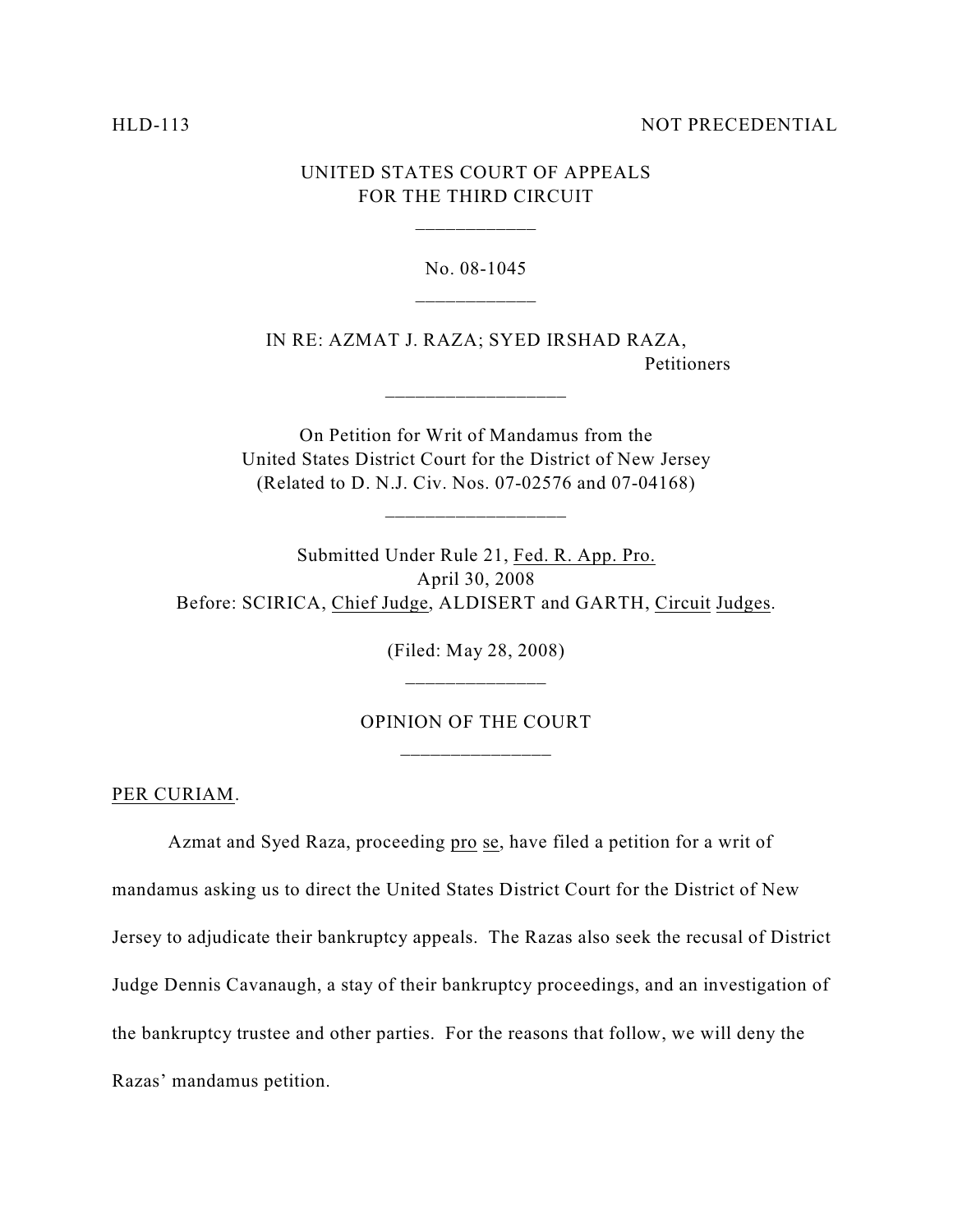#### HLD-113 NOT PRECEDENTIAL

## UNITED STATES COURT OF APPEALS FOR THE THIRD CIRCUIT

\_\_\_\_\_\_\_\_\_\_\_\_

#### No. 08-1045

IN RE: AZMAT J. RAZA; SYED IRSHAD RAZA, Petitioners

On Petition for Writ of Mandamus from the United States District Court for the District of New Jersey (Related to D. N.J. Civ. Nos. 07-02576 and 07-04168)

\_\_\_\_\_\_\_\_\_\_\_\_\_\_\_\_\_\_

Submitted Under Rule 21, Fed. R. App. Pro. April 30, 2008 Before: SCIRICA, Chief Judge, ALDISERT and GARTH, Circuit Judges.

> (Filed: May 28, 2008) \_\_\_\_\_\_\_\_\_\_\_\_\_\_

# OPINION OF THE COURT \_\_\_\_\_\_\_\_\_\_\_\_\_\_\_

PER CURIAM.

Azmat and Syed Raza, proceeding pro se, have filed a petition for a writ of mandamus asking us to direct the United States District Court for the District of New Jersey to adjudicate their bankruptcy appeals. The Razas also seek the recusal of District Judge Dennis Cavanaugh, a stay of their bankruptcy proceedings, and an investigation of the bankruptcy trustee and other parties. For the reasons that follow, we will deny the Razas' mandamus petition.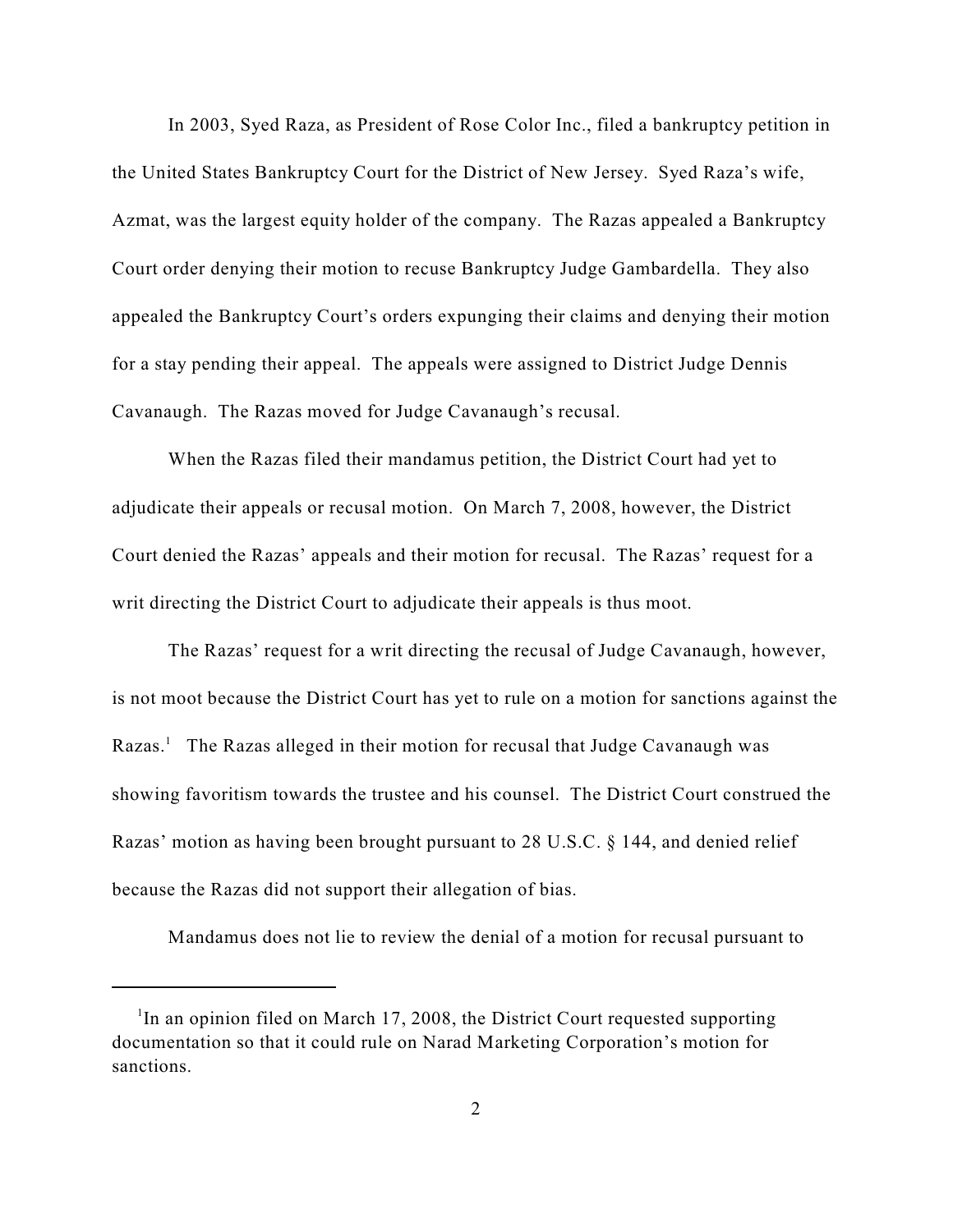In 2003, Syed Raza, as President of Rose Color Inc., filed a bankruptcy petition in the United States Bankruptcy Court for the District of New Jersey. Syed Raza's wife, Azmat, was the largest equity holder of the company. The Razas appealed a Bankruptcy Court order denying their motion to recuse Bankruptcy Judge Gambardella. They also appealed the Bankruptcy Court's orders expunging their claims and denying their motion for a stay pending their appeal. The appeals were assigned to District Judge Dennis Cavanaugh. The Razas moved for Judge Cavanaugh's recusal.

When the Razas filed their mandamus petition, the District Court had yet to adjudicate their appeals or recusal motion. On March 7, 2008, however, the District Court denied the Razas' appeals and their motion for recusal. The Razas' request for a writ directing the District Court to adjudicate their appeals is thus moot.

The Razas' request for a writ directing the recusal of Judge Cavanaugh, however, is not moot because the District Court has yet to rule on a motion for sanctions against the Razas.<sup>1</sup> The Razas alleged in their motion for recusal that Judge Cavanaugh was showing favoritism towards the trustee and his counsel. The District Court construed the Razas' motion as having been brought pursuant to 28 U.S.C. § 144, and denied relief because the Razas did not support their allegation of bias.

Mandamus does not lie to review the denial of a motion for recusal pursuant to

<sup>&</sup>lt;sup>1</sup>In an opinion filed on March 17, 2008, the District Court requested supporting documentation so that it could rule on Narad Marketing Corporation's motion for sanctions.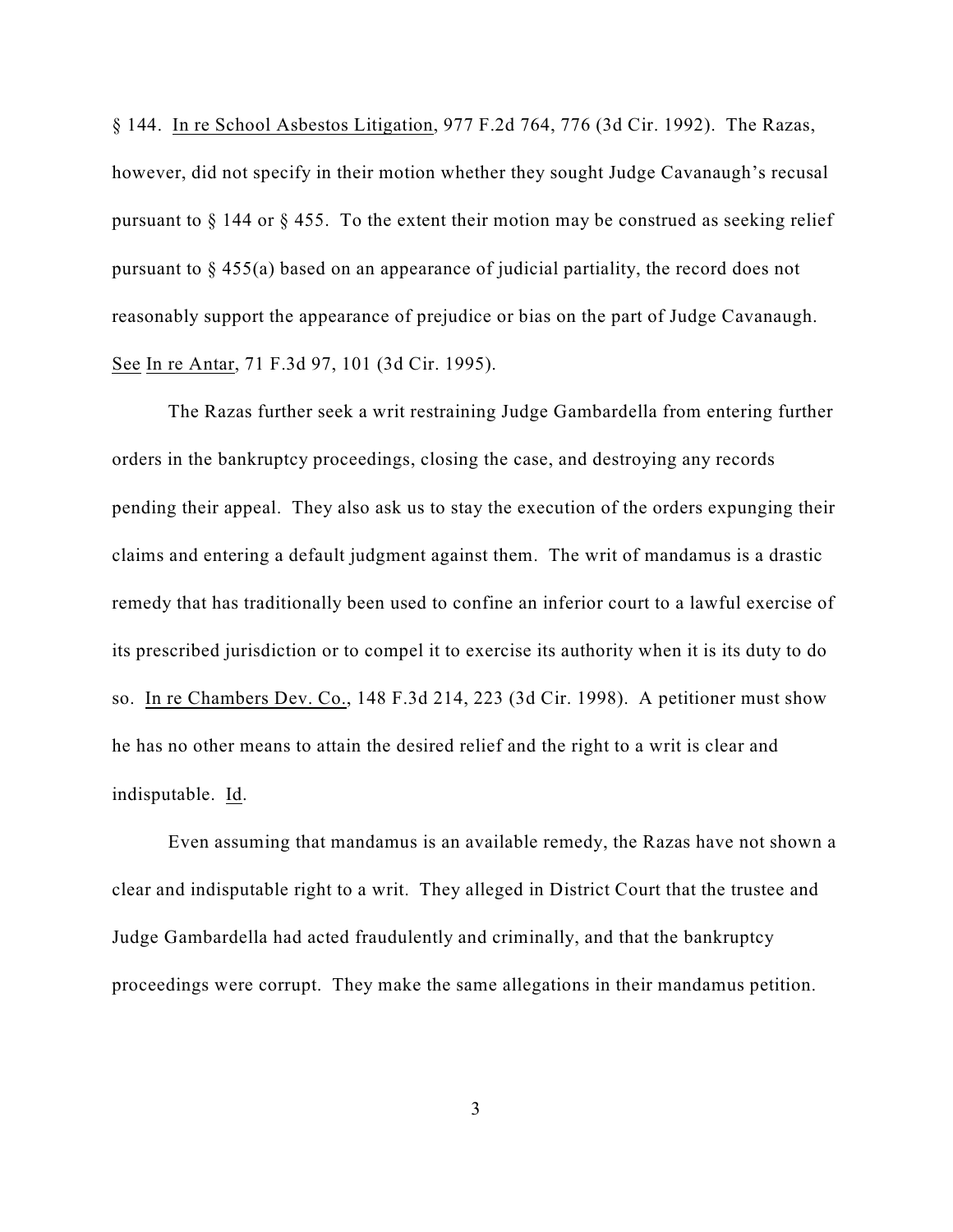§ 144. In re School Asbestos Litigation, 977 F.2d 764, 776 (3d Cir. 1992). The Razas, however, did not specify in their motion whether they sought Judge Cavanaugh's recusal pursuant to § 144 or § 455. To the extent their motion may be construed as seeking relief pursuant to § 455(a) based on an appearance of judicial partiality, the record does not reasonably support the appearance of prejudice or bias on the part of Judge Cavanaugh. See In re Antar, 71 F.3d 97, 101 (3d Cir. 1995).

The Razas further seek a writ restraining Judge Gambardella from entering further orders in the bankruptcy proceedings, closing the case, and destroying any records pending their appeal. They also ask us to stay the execution of the orders expunging their claims and entering a default judgment against them. The writ of mandamus is a drastic remedy that has traditionally been used to confine an inferior court to a lawful exercise of its prescribed jurisdiction or to compel it to exercise its authority when it is its duty to do so. In re Chambers Dev. Co., 148 F.3d 214, 223 (3d Cir. 1998). A petitioner must show he has no other means to attain the desired relief and the right to a writ is clear and indisputable. Id.

Even assuming that mandamus is an available remedy, the Razas have not shown a clear and indisputable right to a writ. They alleged in District Court that the trustee and Judge Gambardella had acted fraudulently and criminally, and that the bankruptcy proceedings were corrupt. They make the same allegations in their mandamus petition.